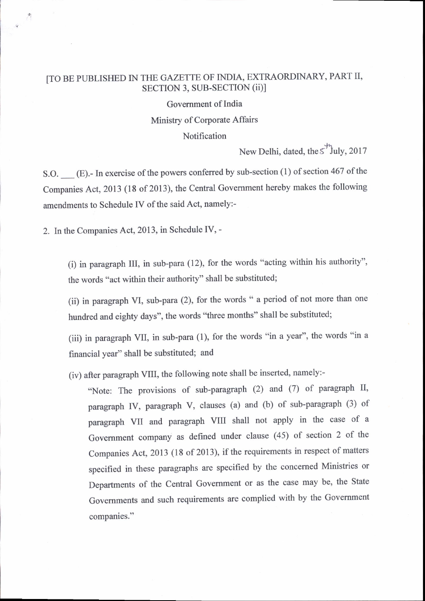## [TO BE PUBLISHED IN THE GAZETTE OF INDIA, EXTRAORDINARY, PART II, SECTION 3, SUB-SECTION (ii)l

Govemment of India Minisry of Corporate Affairs Notification

.h New Delhi, dated, the  $\lesssim$  'July, 2017

S.O. <sub>\_\_\_</sub> (E).- In exercise of the powers conferred by sub-section (1) of section 467 of the companies Act,2013 (18 of 2013), the central Government hereby makes the following amendments to Schedule IV of the said Act, namely:-

2. In the Companies Act, 2013, in Schedule IV, -

(i) in paragraph III, in sub-para (12), for the words "acting within his authority", the words "act within their authority" shall be substituted;

(ii) in paragraph VI, sub-para (2), for the words " a period of not more than one hundred and eighty days", the words "three months" shall be substituted;

(iii) in paragraph VII, in sub-para (1), for the words "in a year", the words "in <sup>a</sup> financial year" shall be substituted; and

(iv) after paragraph VIII, the following note shall be inserted, namely:-

"Note: The provisions of sub-paragraph (2) and (7) of paragraph II, paragraph IV, paragraph V, clauses (a) and (b) of sub-paragraph (3) of paragraph VII and paragraph VIII shall not apply in the case of a Government company as defined under clause (45) of section 2 of the Companies Act, 2013 (18 of 2013), if the requirements in respect of matters specified in these paragraphs are specified by the concerned Ministries or Departments of the Central Government or as the case may be, the State Govemments and such requirements are complied with by the Government companies."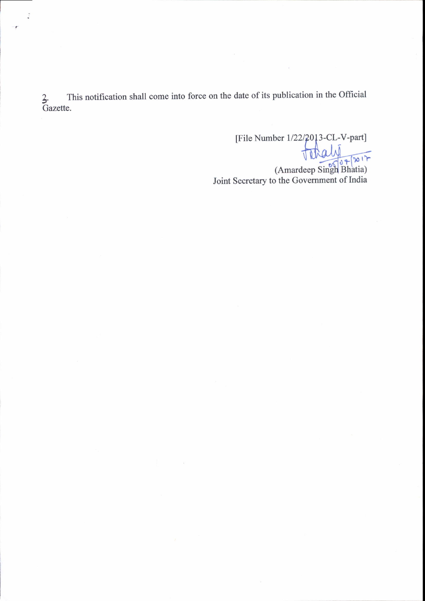This notification shall come into force on the date of its publication in the Official  $\frac{2}{3}$ . Tl<br>Gazette.

[File Number 1/22/2013-CL-V-part]<br>  $\sqrt{2\pi}$ <br>
(Amardeep Singh Bhatia)<br>
Joint Secretary to the Government of India